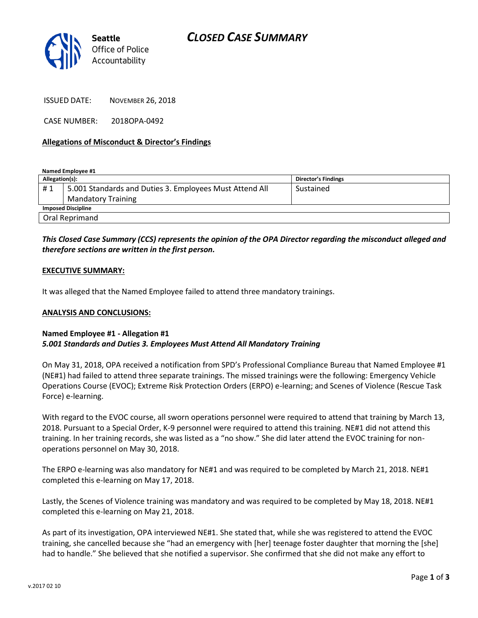

ISSUED DATE: NOVEMBER 26, 2018

CASE NUMBER: 2018OPA-0492

#### **Allegations of Misconduct & Director's Findings**

**Named Employee #1**

| Allegation(s):            |                                                         | Director's Findings |
|---------------------------|---------------------------------------------------------|---------------------|
| #1                        | 5.001 Standards and Duties 3. Employees Must Attend All | Sustained           |
|                           | <b>Mandatory Training</b>                               |                     |
| <b>Imposed Discipline</b> |                                                         |                     |
| Oral Reprimand            |                                                         |                     |

## *This Closed Case Summary (CCS) represents the opinion of the OPA Director regarding the misconduct alleged and therefore sections are written in the first person.*

#### **EXECUTIVE SUMMARY:**

It was alleged that the Named Employee failed to attend three mandatory trainings.

#### **ANALYSIS AND CONCLUSIONS:**

### **Named Employee #1 - Allegation #1** *5.001 Standards and Duties 3. Employees Must Attend All Mandatory Training*

On May 31, 2018, OPA received a notification from SPD's Professional Compliance Bureau that Named Employee #1 (NE#1) had failed to attend three separate trainings. The missed trainings were the following: Emergency Vehicle Operations Course (EVOC); Extreme Risk Protection Orders (ERPO) e-learning; and Scenes of Violence (Rescue Task Force) e-learning.

With regard to the EVOC course, all sworn operations personnel were required to attend that training by March 13, 2018. Pursuant to a Special Order, K-9 personnel were required to attend this training. NE#1 did not attend this training. In her training records, she was listed as a "no show." She did later attend the EVOC training for nonoperations personnel on May 30, 2018.

The ERPO e-learning was also mandatory for NE#1 and was required to be completed by March 21, 2018. NE#1 completed this e-learning on May 17, 2018.

Lastly, the Scenes of Violence training was mandatory and was required to be completed by May 18, 2018. NE#1 completed this e-learning on May 21, 2018.

As part of its investigation, OPA interviewed NE#1. She stated that, while she was registered to attend the EVOC training, she cancelled because she "had an emergency with [her] teenage foster daughter that morning the [she] had to handle." She believed that she notified a supervisor. She confirmed that she did not make any effort to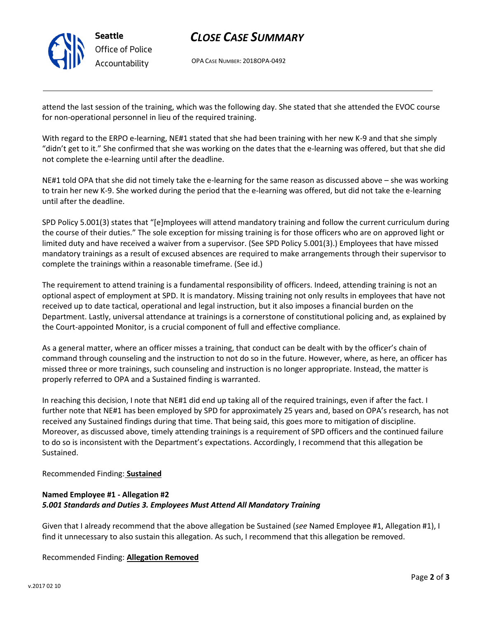

## *CLOSE CASE SUMMARY*

OPA CASE NUMBER: 2018OPA-0492

attend the last session of the training, which was the following day. She stated that she attended the EVOC course for non-operational personnel in lieu of the required training.

With regard to the ERPO e-learning, NE#1 stated that she had been training with her new K-9 and that she simply "didn't get to it." She confirmed that she was working on the dates that the e-learning was offered, but that she did not complete the e-learning until after the deadline.

NE#1 told OPA that she did not timely take the e-learning for the same reason as discussed above – she was working to train her new K-9. She worked during the period that the e-learning was offered, but did not take the e-learning until after the deadline.

SPD Policy 5.001(3) states that "[e]mployees will attend mandatory training and follow the current curriculum during the course of their duties." The sole exception for missing training is for those officers who are on approved light or limited duty and have received a waiver from a supervisor. (See SPD Policy 5.001(3).) Employees that have missed mandatory trainings as a result of excused absences are required to make arrangements through their supervisor to complete the trainings within a reasonable timeframe. (See id.)

The requirement to attend training is a fundamental responsibility of officers. Indeed, attending training is not an optional aspect of employment at SPD. It is mandatory. Missing training not only results in employees that have not received up to date tactical, operational and legal instruction, but it also imposes a financial burden on the Department. Lastly, universal attendance at trainings is a cornerstone of constitutional policing and, as explained by the Court-appointed Monitor, is a crucial component of full and effective compliance.

As a general matter, where an officer misses a training, that conduct can be dealt with by the officer's chain of command through counseling and the instruction to not do so in the future. However, where, as here, an officer has missed three or more trainings, such counseling and instruction is no longer appropriate. Instead, the matter is properly referred to OPA and a Sustained finding is warranted.

In reaching this decision, I note that NE#1 did end up taking all of the required trainings, even if after the fact. I further note that NE#1 has been employed by SPD for approximately 25 years and, based on OPA's research, has not received any Sustained findings during that time. That being said, this goes more to mitigation of discipline. Moreover, as discussed above, timely attending trainings is a requirement of SPD officers and the continued failure to do so is inconsistent with the Department's expectations. Accordingly, I recommend that this allegation be Sustained.

Recommended Finding: **Sustained**

## **Named Employee #1 - Allegation #2** *5.001 Standards and Duties 3. Employees Must Attend All Mandatory Training*

Given that I already recommend that the above allegation be Sustained (*see* Named Employee #1, Allegation #1), I find it unnecessary to also sustain this allegation. As such, I recommend that this allegation be removed.

Recommended Finding: **Allegation Removed**